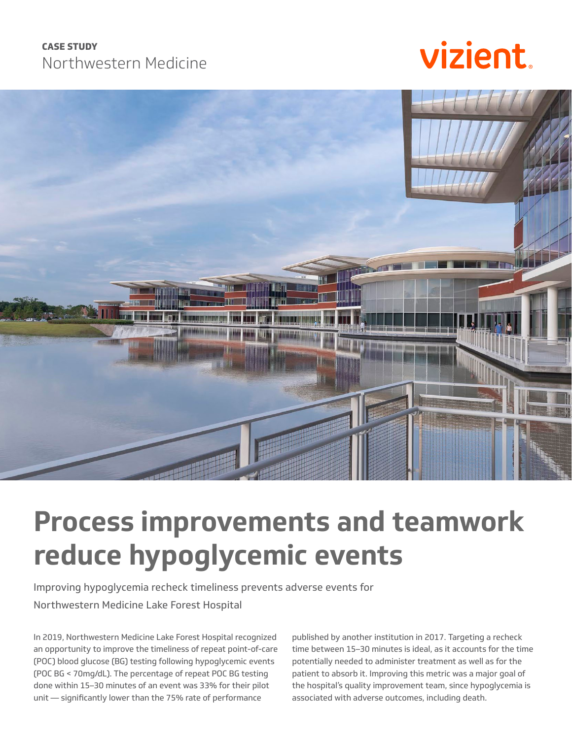### **CASE STUDY** Northwestern Medicine

# vizient



### **Process improvements and teamwork reduce hypoglycemic events**

Improving hypoglycemia recheck timeliness prevents adverse events for Northwestern Medicine Lake Forest Hospital

In 2019, Northwestern Medicine Lake Forest Hospital recognized an opportunity to improve the timeliness of repeat point-of-care (POC) blood glucose (BG) testing following hypoglycemic events (POC BG < 70mg/dL). The percentage of repeat POC BG testing done within 15–30 minutes of an event was 33% for their pilot unit — significantly lower than the 75% rate of performance

published by another institution in 2017. Targeting a recheck time between 15–30 minutes is ideal, as it accounts for the time potentially needed to administer treatment as well as for the patient to absorb it. Improving this metric was a major goal of the hospital's quality improvement team, since hypoglycemia is associated with adverse outcomes, including death.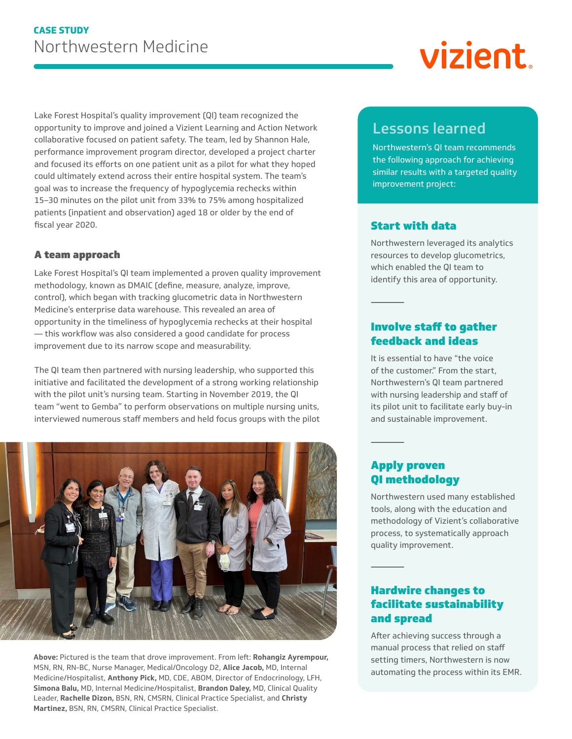Lake Forest Hospital's quality improvement (QI) team recognized the opportunity to improve and joined a Vizient Learning and Action Network collaborative focused on patient safety. The team, led by Shannon Hale, performance improvement program director, developed a project charter and focused its efforts on one patient unit as a pilot for what they hoped could ultimately extend across their entire hospital system. The team's goal was to increase the frequency of hypoglycemia rechecks within 15–30 minutes on the pilot unit from 33% to 75% among hospitalized patients (inpatient and observation) aged 18 or older by the end of fiscal year 2020.

### A team approach

Lake Forest Hospital's QI team implemented a proven quality improvement methodology, known as DMAIC (define, measure, analyze, improve, control), which began with tracking glucometric data in Northwestern Medicine's enterprise data warehouse. This revealed an area of opportunity in the timeliness of hypoglycemia rechecks at their hospital — this workflow was also considered a good candidate for process improvement due to its narrow scope and measurability.

The QI team then partnered with nursing leadership, who supported this initiative and facilitated the development of a strong working relationship with the pilot unit's nursing team. Starting in November 2019, the QI team "went to Gemba" to perform observations on multiple nursing units, interviewed numerous staff members and held focus groups with the pilot



**Above:** Pictured is the team that drove improvement. From left: **Rohangiz Ayrempour,**  MSN, RN, RN-BC, Nurse Manager, Medical/Oncology D2, **Alice Jacob,** MD, Internal Medicine/Hospitalist, **Anthony Pick,** MD, CDE, ABOM, Director of Endocrinology, LFH, **Simona Balu,** MD, Internal Medicine/Hospitalist, **Brandon Daley,** MD, Clinical Quality Leader, **Rachelle Dizon,** BSN, RN, CMSRN, Clinical Practice Specialist, and **Christy Martinez,** BSN, RN, CMSRN, Clinical Practice Specialist.

### Lessons learned

Northwestern's QI team recommends the following approach for achieving similar results with a targeted quality improvement project:

### Start with data

Northwestern leveraged its analytics resources to develop glucometrics, which enabled the QI team to identify this area of opportunity.

### Involve staff to gather feedback and ideas

It is essential to have "the voice of the customer." From the start, Northwestern's QI team partnered with nursing leadership and staff of its pilot unit to facilitate early buy-in and sustainable improvement.

### Apply proven QI methodology

Northwestern used many established tools, along with the education and methodology of Vizient's collaborative process, to systematically approach quality improvement.

### Hardwire changes to facilitate sustainability and spread

After achieving success through a manual process that relied on staff setting timers, Northwestern is now automating the process within its EMR.

# vizient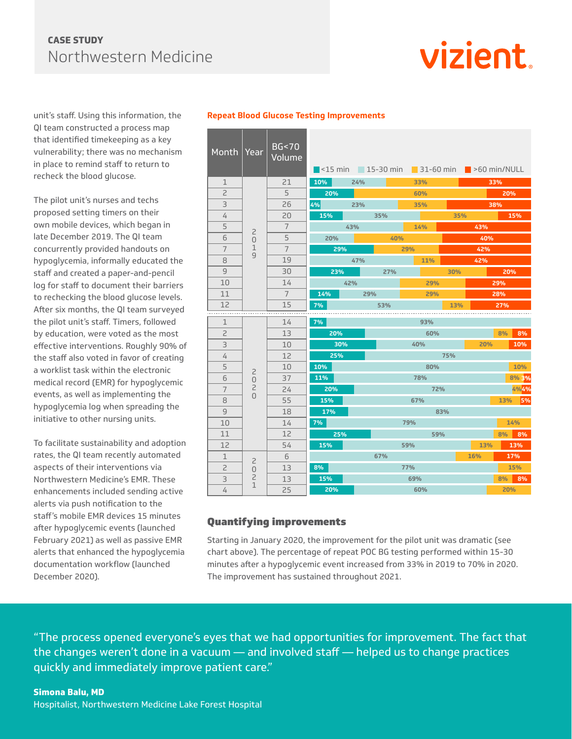### **CASE STUDY** Northwestern Medicine

## vizient.

unit's staff. Using this information, the QI team constructed a process map that identified timekeeping as a key vulnerability; there was no mechanism in place to remind staff to return to recheck the blood glucose.

The pilot unit's nurses and techs proposed setting timers on their own mobile devices, which began in late December 2019. The QI team concurrently provided handouts on hypoglycemia, informally educated the staff and created a paper-and-pencil log for staff to document their barriers to rechecking the blood glucose levels. After six months, the QI team surveyed the pilot unit's staff. Timers, followed by education, were voted as the most effective interventions. Roughly 90% of the staff also voted in favor of creating a worklist task within the electronic medical record (EMR) for hypoglycemic events, as well as implementing the hypoglycemia log when spreading the initiative to other nursing units.

To facilitate sustainability and adoption rates, the QI team recently automated aspects of their interventions via Northwestern Medicine's EMR. These enhancements included sending active alerts via push notification to the staff's mobile EMR devices 15 minutes after hypoglycemic events (launched February 2021) as well as passive EMR alerts that enhanced the hypoglycemia documentation workflow (launched December 2020).

| Month   Year             |                                                             | BG < 70<br>Volume |                  |     |        | $\blacksquare$ <15 min $\blacksquare$ 15-30 min $\blacksquare$ 31-60 min $\blacksquare$ >60 min/NULL |     |            |          |  |
|--------------------------|-------------------------------------------------------------|-------------------|------------------|-----|--------|------------------------------------------------------------------------------------------------------|-----|------------|----------|--|
| $\mathbf{1}$             |                                                             | 21                | $10\%$<br>24%    |     | 33%    |                                                                                                      |     | 33%        |          |  |
| $\overline{\phantom{0}}$ | $\overline{c}$<br>$\Omega$<br>$\mathbf{1}$<br>9             | 5                 | 20%              |     |        | 60%                                                                                                  |     | 20%        |          |  |
| 3                        |                                                             | 26                | <b>4% A</b> 2007 | 23% |        | 35%                                                                                                  |     |            | 38%      |  |
| 4                        |                                                             | 20                | 15%<br>35%       |     |        |                                                                                                      | 35% |            | 15%      |  |
| 5                        |                                                             | $\overline{7}$    | $43\%$           |     |        | 14%                                                                                                  |     |            | 43%      |  |
| 6                        |                                                             | 5                 | 20%              |     | 40%    |                                                                                                      | 40% |            |          |  |
| $\overline{7}$           |                                                             | $\overline{7}$    | 29%              |     | $29\%$ |                                                                                                      | 42% |            |          |  |
| 8                        |                                                             | 19                | $47\%$           |     |        | 11%                                                                                                  |     | 42%        |          |  |
| 9                        |                                                             | 30                | 23%              |     | 27%    |                                                                                                      | 30% |            | 20%      |  |
| 10                       |                                                             | 14                | $42\%$           |     |        | 29%                                                                                                  |     | 29%        |          |  |
| 11                       |                                                             | $7\overline{ }$   | 14%<br>$29\%$    |     | 29%    |                                                                                                      |     | 28%        |          |  |
| 12                       |                                                             | 15                | 7%               |     | 53%    |                                                                                                      | 13% |            | 27%      |  |
| $\mathbf{1}$             |                                                             | 14                | 7%               |     |        | 93%                                                                                                  |     |            |          |  |
| $\overline{c}$           | $\overline{c}$<br>$\mathbf 0$<br>$\overline{c}$<br>$\Omega$ | 13                | 20%              |     | 60%    |                                                                                                      |     |            | 8%<br>8% |  |
| 3                        |                                                             | 10                | 30%              |     | 40%    |                                                                                                      |     | 20%<br>10% |          |  |
| 4                        |                                                             | 12                | 25%              |     | 75%    |                                                                                                      |     |            |          |  |
| 5                        |                                                             | 10                | 10%              |     | 80%    |                                                                                                      |     |            | 10%      |  |
| 6                        |                                                             | 37                | 11%              |     | 78%    |                                                                                                      |     |            | 8% 3%    |  |
| $\overline{7}$           |                                                             | 24                | 20%              |     | 72%    |                                                                                                      |     |            | 4%4%     |  |
| 8                        |                                                             | 55                | 15%              |     | 67%    |                                                                                                      |     |            | 13% 5%   |  |
| 9                        |                                                             | 18                | 17%              |     |        | 83%                                                                                                  |     |            |          |  |
| 10                       |                                                             | 14                | 7%               |     | 79%    |                                                                                                      |     | 14%        |          |  |
| 11                       |                                                             | 12                | $\sim$ 25%       |     | 59%    |                                                                                                      |     |            | 8% 8%    |  |
| 12                       |                                                             | 54                | 15%              |     |        | 59%                                                                                                  |     | 13%        | 13%      |  |
| $\mathbf{1}$             | $\overline{c}$                                              | 6                 |                  |     | 67%    |                                                                                                      |     | 16%        | 17%      |  |
| $\overline{c}$           | $\overline{0}$<br>$\overline{c}$                            | 13                | 77%<br>8%        |     |        |                                                                                                      |     | 15%        |          |  |
|                          |                                                             |                   | 15%<br>69%       |     |        |                                                                                                      |     | 8% 8%      |          |  |
| 3                        | $\mathbf{1}$                                                | 13                |                  |     |        |                                                                                                      |     |            |          |  |

### **Repeat Blood Glucose Testing Improvements**

### Quantifying improvements

Starting in January 2020, the improvement for the pilot unit was dramatic (see chart above). The percentage of repeat POC BG testing performed within 15-30 minutes after a hypoglycemic event increased from 33% in 2019 to 70% in 2020. The improvement has sustained throughout 2021.

"The process opened everyone's eyes that we had opportunities for improvement. The fact that the changes weren't done in a vacuum — and involved staff — helped us to change practices quickly and immediately improve patient care."

#### **Simona Balu, MD**

Hospitalist, Northwestern Medicine Lake Forest Hospital